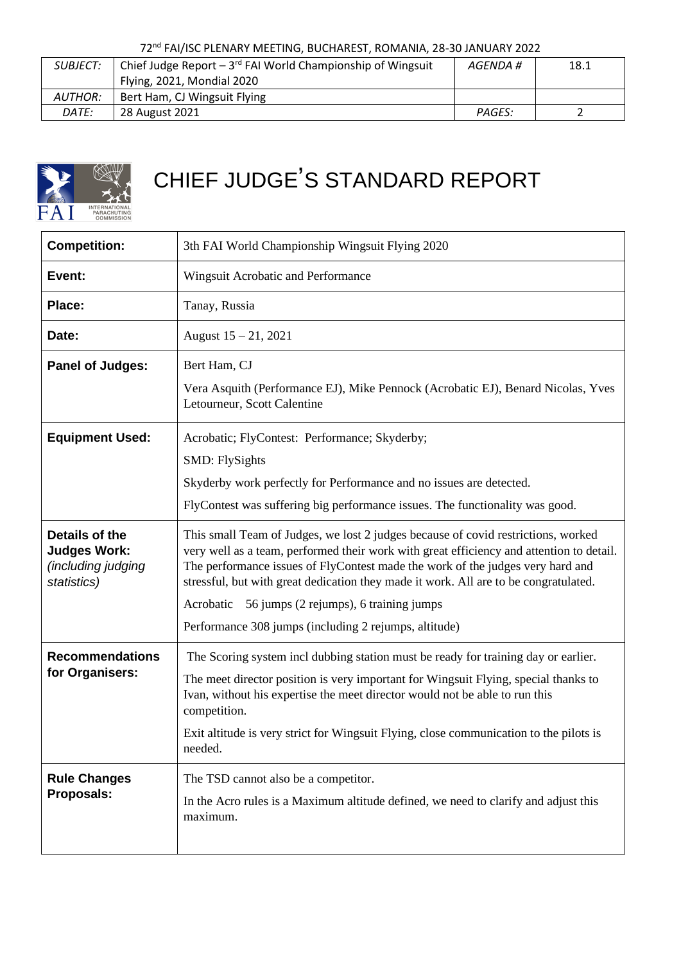72nd FAI/ISC PLENARY MEETING, BUCHAREST, ROMANIA, 28-30 JANUARY 2022

| <b>SUBJECT:</b> | Chief Judge Report $-3^{rd}$ FAI World Championship of Wingsuit | AGENDA #      | 18.1 |
|-----------------|-----------------------------------------------------------------|---------------|------|
|                 | Flying, 2021, Mondial 2020                                      |               |      |
| AUTHOR:         | Bert Ham, CJ Wingsuit Flying                                    |               |      |
| <i>DATE:</i>    | 28 August 2021                                                  | <b>PAGES:</b> |      |



## CHIEF JUDGE'S STANDARD REPORT

| <b>Competition:</b>                                                        | 3th FAI World Championship Wingsuit Flying 2020                                                                                                                                                                                                                                                                                                                                                                                                                      |
|----------------------------------------------------------------------------|----------------------------------------------------------------------------------------------------------------------------------------------------------------------------------------------------------------------------------------------------------------------------------------------------------------------------------------------------------------------------------------------------------------------------------------------------------------------|
| Event:                                                                     | Wingsuit Acrobatic and Performance                                                                                                                                                                                                                                                                                                                                                                                                                                   |
| Place:                                                                     | Tanay, Russia                                                                                                                                                                                                                                                                                                                                                                                                                                                        |
| Date:                                                                      | August $15 - 21$ , 2021                                                                                                                                                                                                                                                                                                                                                                                                                                              |
| <b>Panel of Judges:</b>                                                    | Bert Ham, CJ                                                                                                                                                                                                                                                                                                                                                                                                                                                         |
|                                                                            | Vera Asquith (Performance EJ), Mike Pennock (Acrobatic EJ), Benard Nicolas, Yves<br>Letourneur, Scott Calentine                                                                                                                                                                                                                                                                                                                                                      |
| <b>Equipment Used:</b>                                                     | Acrobatic; FlyContest: Performance; Skyderby;                                                                                                                                                                                                                                                                                                                                                                                                                        |
|                                                                            | SMD: FlySights                                                                                                                                                                                                                                                                                                                                                                                                                                                       |
|                                                                            | Skyderby work perfectly for Performance and no issues are detected.                                                                                                                                                                                                                                                                                                                                                                                                  |
|                                                                            | FlyContest was suffering big performance issues. The functionality was good.                                                                                                                                                                                                                                                                                                                                                                                         |
| Details of the<br><b>Judges Work:</b><br>(including judging<br>statistics) | This small Team of Judges, we lost 2 judges because of covid restrictions, worked<br>very well as a team, performed their work with great efficiency and attention to detail.<br>The performance issues of FlyContest made the work of the judges very hard and<br>stressful, but with great dedication they made it work. All are to be congratulated.<br>Acrobatic 56 jumps (2 rejumps), 6 training jumps<br>Performance 308 jumps (including 2 rejumps, altitude) |
| <b>Recommendations</b>                                                     | The Scoring system incl dubbing station must be ready for training day or earlier.                                                                                                                                                                                                                                                                                                                                                                                   |
| for Organisers:                                                            | The meet director position is very important for Wingsuit Flying, special thanks to<br>Ivan, without his expertise the meet director would not be able to run this<br>competition.                                                                                                                                                                                                                                                                                   |
|                                                                            | Exit altitude is very strict for Wingsuit Flying, close communication to the pilots is<br>needed.                                                                                                                                                                                                                                                                                                                                                                    |
| <b>Rule Changes</b><br>Proposals:                                          | The TSD cannot also be a competitor.<br>In the Acro rules is a Maximum altitude defined, we need to clarify and adjust this<br>maximum.                                                                                                                                                                                                                                                                                                                              |